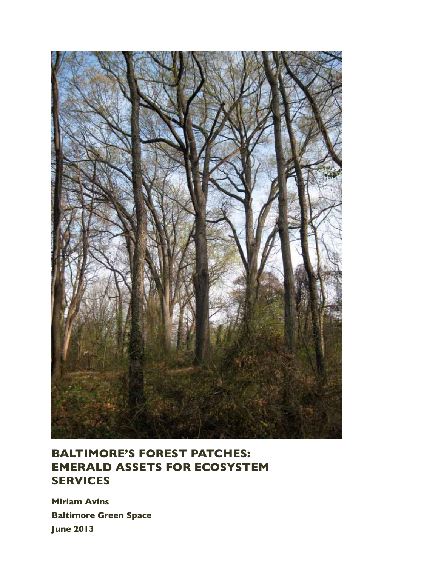

## **Baltimore's Forest Patches: Emerald Assets for Ecosystem Services**

**Miriam Avins Baltimore Green Space June 2013**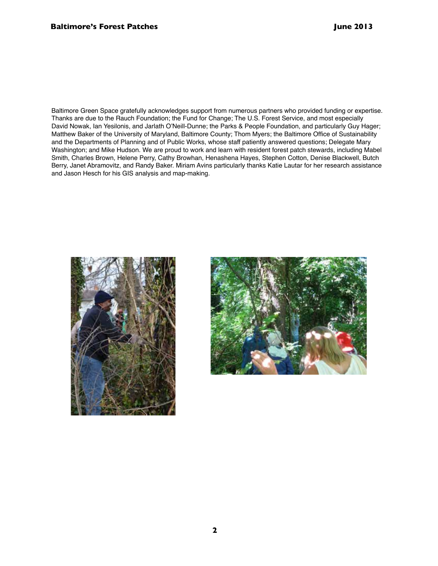Baltimore Green Space gratefully acknowledges support from numerous partners who provided funding or expertise. Thanks are due to the Rauch Foundation; the Fund for Change; The U.S. Forest Service, and most especially David Nowak, Ian Yesilonis, and Jarlath O'Neill-Dunne; the Parks & People Foundation, and particularly Guy Hager; Matthew Baker of the University of Maryland, Baltimore County; Thom Myers; the Baltimore Office of Sustainability and the Departments of Planning and of Public Works, whose staff patiently answered questions; Delegate Mary Washington; and Mike Hudson. We are proud to work and learn with resident forest patch stewards, including Mabel Smith, Charles Brown, Helene Perry, Cathy Browhan, Henashena Hayes, Stephen Cotton, Denise Blackwell, Butch Berry, Janet Abramovitz, and Randy Baker. Miriam Avins particularly thanks Katie Lautar for her research assistance and Jason Hesch for his GIS analysis and map-making.



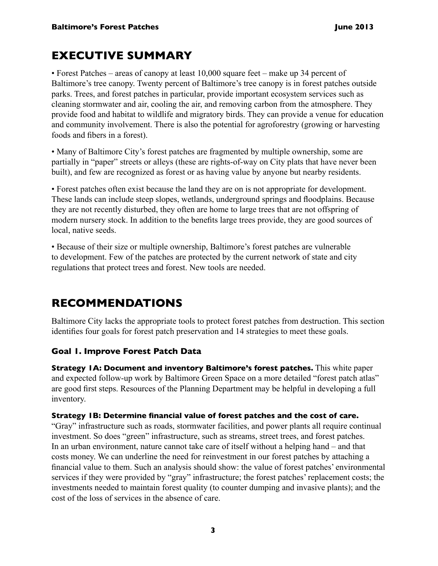## **EXECUTIVE SUMMARY**

• Forest Patches – areas of canopy at least 10,000 square feet – make up 34 percent of Baltimore's tree canopy. Twenty percent of Baltimore's tree canopy is in forest patches outside parks. Trees, and forest patches in particular, provide important ecosystem services such as cleaning stormwater and air, cooling the air, and removing carbon from the atmosphere. They provide food and habitat to wildlife and migratory birds. They can provide a venue for education and community involvement. There is also the potential for agroforestry (growing or harvesting foods and fibers in a forest).

• Many of Baltimore City's forest patches are fragmented by multiple ownership, some are partially in "paper" streets or alleys (these are rights-of-way on City plats that have never been built), and few are recognized as forest or as having value by anyone but nearby residents.

• Forest patches often exist because the land they are on is not appropriate for development. These lands can include steep slopes, wetlands, underground springs and floodplains. Because they are not recently disturbed, they often are home to large trees that are not offspring of modern nursery stock. In addition to the benefits large trees provide, they are good sources of local, native seeds.

• Because of their size or multiple ownership, Baltimore's forest patches are vulnerable to development. Few of the patches are protected by the current network of state and city regulations that protect trees and forest. New tools are needed.

## **RECOMMENDATIONS**

Baltimore City lacks the appropriate tools to protect forest patches from destruction. This section identifies four goals for forest patch preservation and 14 strategies to meet these goals.

## **Goal 1. Improve Forest Patch Data**

**Strategy 1A: Document and inventory Baltimore's forest patches.** This white paper and expected follow-up work by Baltimore Green Space on a more detailed "forest patch atlas" are good first steps. Resources of the Planning Department may be helpful in developing a full inventory.

### **Strategy 1B: Determine financial value of forest patches and the cost of care.**

"Gray" infrastructure such as roads, stormwater facilities, and power plants all require continual investment. So does "green" infrastructure, such as streams, street trees, and forest patches. In an urban environment, nature cannot take care of itself without a helping hand – and that costs money. We can underline the need for reinvestment in our forest patches by attaching a financial value to them. Such an analysis should show: the value of forest patches' environmental services if they were provided by "gray" infrastructure; the forest patches' replacement costs; the investments needed to maintain forest quality (to counter dumping and invasive plants); and the cost of the loss of services in the absence of care.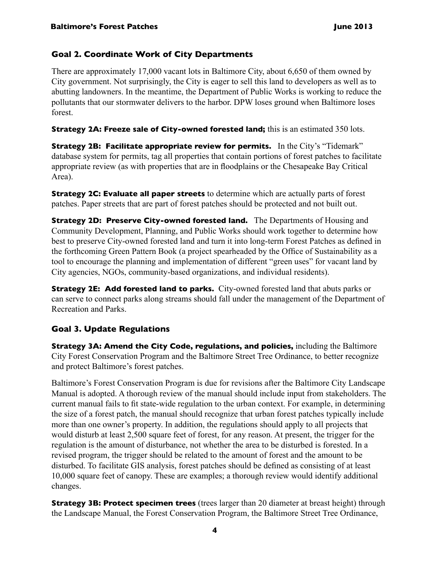### **Goal 2. Coordinate Work of City Departments**

There are approximately 17,000 vacant lots in Baltimore City, about 6,650 of them owned by City government. Not surprisingly, the City is eager to sell this land to developers as well as to abutting landowners. In the meantime, the Department of Public Works is working to reduce the pollutants that our stormwater delivers to the harbor. DPW loses ground when Baltimore loses forest.

**Strategy 2A: Freeze sale of City-owned forested land;** this is an estimated 350 lots.

**Strategy 2B: Facilitate appropriate review for permits.** In the City's "Tidemark" database system for permits, tag all properties that contain portions of forest patches to facilitate appropriate review (as with properties that are in floodplains or the Chesapeake Bay Critical Area).

**Strategy 2C: Evaluate all paper streets** to determine which are actually parts of forest patches. Paper streets that are part of forest patches should be protected and not built out.

**Strategy 2D: Preserve City-owned forested land.** The Departments of Housing and Community Development, Planning, and Public Works should work together to determine how best to preserve City-owned forested land and turn it into long-term Forest Patches as defined in the forthcoming Green Pattern Book (a project spearheaded by the Office of Sustainability as a tool to encourage the planning and implementation of different "green uses" for vacant land by City agencies, NGOs, community-based organizations, and individual residents).

**Strategy 2E: Add forested land to parks.** City-owned forested land that abuts parks or can serve to connect parks along streams should fall under the management of the Department of Recreation and Parks.

### **Goal 3. Update Regulations**

**Strategy 3A: Amend the City Code, regulations, and policies,** including the Baltimore City Forest Conservation Program and the Baltimore Street Tree Ordinance, to better recognize and protect Baltimore's forest patches.

Baltimore's Forest Conservation Program is due for revisions after the Baltimore City Landscape Manual is adopted. A thorough review of the manual should include input from stakeholders. The current manual fails to fit state-wide regulation to the urban context. For example, in determining the size of a forest patch, the manual should recognize that urban forest patches typically include more than one owner's property. In addition, the regulations should apply to all projects that would disturb at least 2,500 square feet of forest, for any reason. At present, the trigger for the regulation is the amount of disturbance, not whether the area to be disturbed is forested. In a revised program, the trigger should be related to the amount of forest and the amount to be disturbed. To facilitate GIS analysis, forest patches should be defined as consisting of at least 10,000 square feet of canopy. These are examples; a thorough review would identify additional changes.

**Strategy 3B: Protect specimen trees** (trees larger than 20 diameter at breast height) through the Landscape Manual, the Forest Conservation Program, the Baltimore Street Tree Ordinance,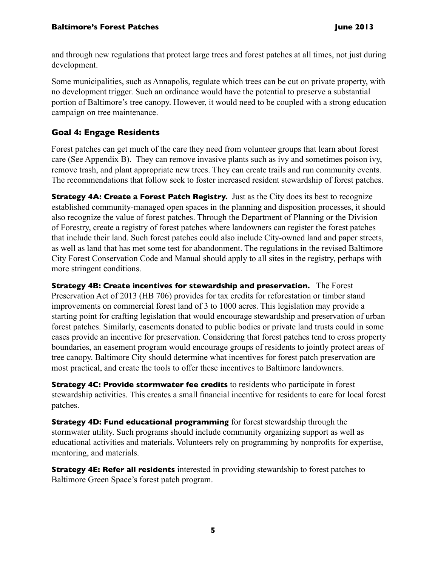and through new regulations that protect large trees and forest patches at all times, not just during development.

Some municipalities, such as Annapolis, regulate which trees can be cut on private property, with no development trigger. Such an ordinance would have the potential to preserve a substantial portion of Baltimore's tree canopy. However, it would need to be coupled with a strong education campaign on tree maintenance.

### **Goal 4: Engage Residents**

Forest patches can get much of the care they need from volunteer groups that learn about forest care (See Appendix B). They can remove invasive plants such as ivy and sometimes poison ivy, remove trash, and plant appropriate new trees. They can create trails and run community events. The recommendations that follow seek to foster increased resident stewardship of forest patches.

**Strategy 4A: Create a Forest Patch Registry.** Just as the City does its best to recognize established community-managed open spaces in the planning and disposition processes, it should also recognize the value of forest patches. Through the Department of Planning or the Division of Forestry, create a registry of forest patches where landowners can register the forest patches that include their land. Such forest patches could also include City-owned land and paper streets, as well as land that has met some test for abandonment. The regulations in the revised Baltimore City Forest Conservation Code and Manual should apply to all sites in the registry, perhaps with more stringent conditions.

**Strategy 4B: Create incentives for stewardship and preservation.** The Forest Preservation Act of 2013 (HB 706) provides for tax credits for reforestation or timber stand improvements on commercial forest land of 3 to 1000 acres. This legislation may provide a starting point for crafting legislation that would encourage stewardship and preservation of urban forest patches. Similarly, easements donated to public bodies or private land trusts could in some cases provide an incentive for preservation. Considering that forest patches tend to cross property boundaries, an easement program would encourage groups of residents to jointly protect areas of tree canopy. Baltimore City should determine what incentives for forest patch preservation are most practical, and create the tools to offer these incentives to Baltimore landowners.

**Strategy 4C: Provide stormwater fee credits** to residents who participate in forest stewardship activities. This creates a small financial incentive for residents to care for local forest patches.

**Strategy 4D: Fund educational programming** for forest stewardship through the stormwater utility. Such programs should include community organizing support as well as educational activities and materials. Volunteers rely on programming by nonprofits for expertise, mentoring, and materials.

**Strategy 4E: Refer all residents** interested in providing stewardship to forest patches to Baltimore Green Space's forest patch program.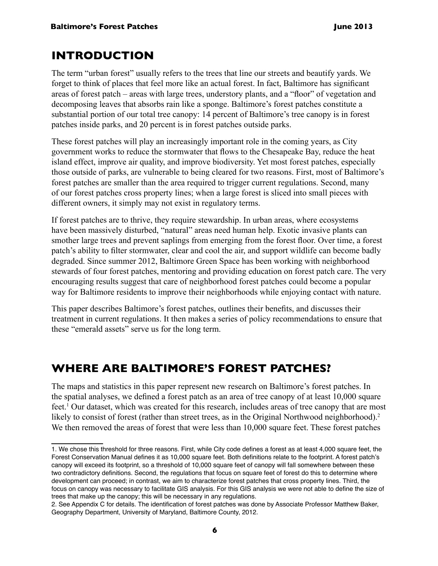## **INTRODUCTION**

The term "urban forest" usually refers to the trees that line our streets and beautify yards. We forget to think of places that feel more like an actual forest. In fact, Baltimore has significant areas of forest patch – areas with large trees, understory plants, and a "floor" of vegetation and decomposing leaves that absorbs rain like a sponge. Baltimore's forest patches constitute a substantial portion of our total tree canopy: 14 percent of Baltimore's tree canopy is in forest patches inside parks, and 20 percent is in forest patches outside parks.

These forest patches will play an increasingly important role in the coming years, as City government works to reduce the stormwater that flows to the Chesapeake Bay, reduce the heat island effect, improve air quality, and improve biodiversity. Yet most forest patches, especially those outside of parks, are vulnerable to being cleared for two reasons. First, most of Baltimore's forest patches are smaller than the area required to trigger current regulations. Second, many of our forest patches cross property lines; when a large forest is sliced into small pieces with different owners, it simply may not exist in regulatory terms.

If forest patches are to thrive, they require stewardship. In urban areas, where ecosystems have been massively disturbed, "natural" areas need human help. Exotic invasive plants can smother large trees and prevent saplings from emerging from the forest floor. Over time, a forest patch's ability to filter stormwater, clear and cool the air, and support wildlife can become badly degraded. Since summer 2012, Baltimore Green Space has been working with neighborhood stewards of four forest patches, mentoring and providing education on forest patch care. The very encouraging results suggest that care of neighborhood forest patches could become a popular way for Baltimore residents to improve their neighborhoods while enjoying contact with nature.

This paper describes Baltimore's forest patches, outlines their benefits, and discusses their treatment in current regulations. It then makes a series of policy recommendations to ensure that these "emerald assets" serve us for the long term.

## **Where are Baltimore's Forest Patches?**

The maps and statistics in this paper represent new research on Baltimore's forest patches. In the spatial analyses, we defined a forest patch as an area of tree canopy of at least 10,000 square feet.<sup>1</sup> Our dataset, which was created for this research, includes areas of tree canopy that are most likely to consist of forest (rather than street trees, as in the Original Northwood neighborhood).<sup>2</sup> We then removed the areas of forest that were less than 10,000 square feet. These forest patches

<sup>1.</sup> We chose this threshold for three reasons. First, while City code defines a forest as at least 4,000 square feet, the Forest Conservation Manual defines it as 10,000 square feet. Both definitions relate to the footprint. A forest patch's canopy will exceed its footprint, so a threshold of 10,000 square feet of canopy will fall somewhere between these two contradictory definitions. Second, the regulations that focus on square feet of forest do this to determine where development can proceed; in contrast, we aim to characterize forest patches that cross property lines. Third, the focus on canopy was necessary to facilitate GIS analysis. For this GIS analysis we were not able to define the size of trees that make up the canopy; this will be necessary in any regulations.

<sup>2.</sup> See Appendix C for details. The identification of forest patches was done by Associate Professor Matthew Baker, Geography Department, University of Maryland, Baltimore County, 2012.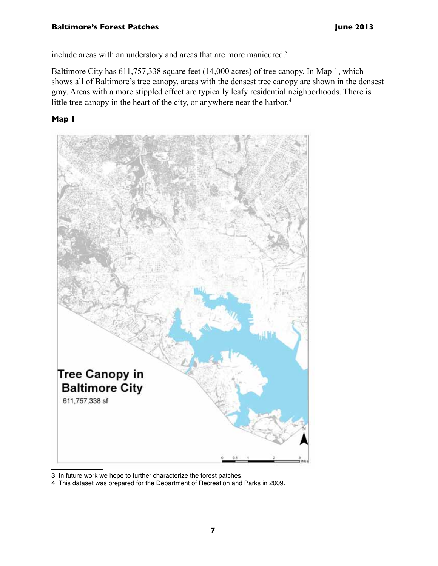include areas with an understory and areas that are more manicured.<sup>3</sup>

Baltimore City has 611,757,338 square feet (14,000 acres) of tree canopy. In Map 1, which shows all of Baltimore's tree canopy, areas with the densest tree canopy are shown in the densest gray. Areas with a more stippled effect are typically leafy residential neighborhoods. There is little tree canopy in the heart of the city, or anywhere near the harbor.<sup>4</sup>

### **Map 1**



3. In future work we hope to further characterize the forest patches.

4. This dataset was prepared for the Department of Recreation and Parks in 2009.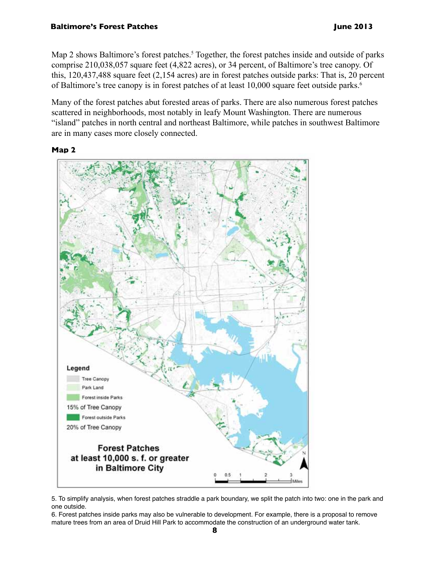Map 2 shows Baltimore's forest patches.<sup>5</sup> Together, the forest patches inside and outside of parks comprise 210,038,057 square feet (4,822 acres), or 34 percent, of Baltimore's tree canopy. Of this, 120,437,488 square feet (2,154 acres) are in forest patches outside parks: That is, 20 percent of Baltimore's tree canopy is in forest patches of at least 10,000 square feet outside parks.<sup>6</sup>

Many of the forest patches abut forested areas of parks. There are also numerous forest patches scattered in neighborhoods, most notably in leafy Mount Washington. There are numerous "island" patches in north central and northeast Baltimore, while patches in southwest Baltimore are in many cases more closely connected.

#### **Map 2**





6. Forest patches inside parks may also be vulnerable to development. For example, there is a proposal to remove mature trees from an area of Druid Hill Park to accommodate the construction of an underground water tank.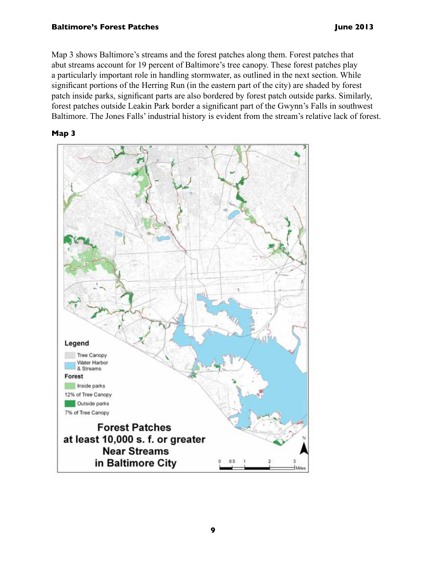Map 3 shows Baltimore's streams and the forest patches along them. Forest patches that abut streams account for 19 percent of Baltimore's tree canopy. These forest patches play a particularly important role in handling stormwater, as outlined in the next section. While significant portions of the Herring Run (in the eastern part of the city) are shaded by forest patch inside parks, significant parts are also bordered by forest patch outside parks. Similarly, forest patches outside Leakin Park border a significant part of the Gwynn's Falls in southwest Baltimore. The Jones Falls' industrial history is evident from the stream's relative lack of forest.



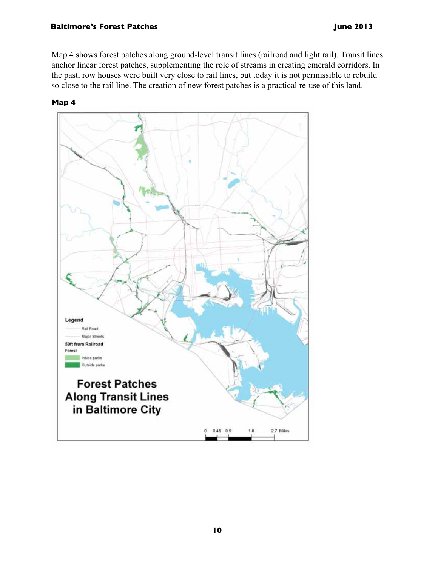Map 4 shows forest patches along ground-level transit lines (railroad and light rail). Transit lines anchor linear forest patches, supplementing the role of streams in creating emerald corridors. In the past, row houses were built very close to rail lines, but today it is not permissible to rebuild so close to the rail line. The creation of new forest patches is a practical re-use of this land.

**Map 4**

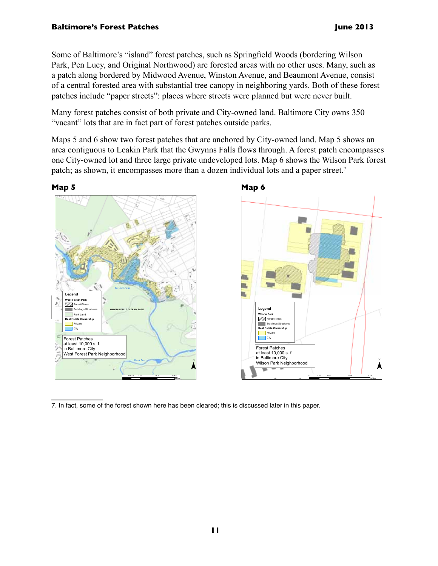Some of Baltimore's "island" forest patches, such as Springfield Woods (bordering Wilson Park, Pen Lucy, and Original Northwood) are forested areas with no other uses. Many, such as a patch along bordered by Midwood Avenue, Winston Avenue, and Beaumont Avenue, consist of a central forested area with substantial tree canopy in neighboring yards. Both of these forest patches include "paper streets": places where streets were planned but were never built.

Many forest patches consist of both private and City-owned land. Baltimore City owns 350 "vacant" lots that are in fact part of forest patches outside parks.

Maps 5 and 6 show two forest patches that are anchored by City-owned land. Map 5 shows an area contiguous to Leakin Park that the Gwynns Falls flows through. A forest patch encompasses one City-owned lot and three large private undeveloped lots. Map 6 shows the Wilson Park forest patch; as shown, it encompasses more than a dozen individual lots and a paper street.<sup>7</sup>



7. In fact, some of the forest shown here has been cleared; this is discussed later in this paper.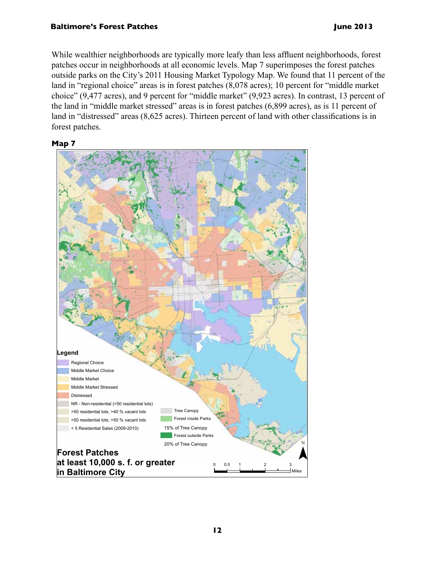While wealthier neighborhoods are typically more leafy than less affluent neighborhoods, forest patches occur in neighborhoods at all economic levels. Map 7 superimposes the forest patches outside parks on the City's 2011 Housing Market Typology Map. We found that 11 percent of the land in "regional choice" areas is in forest patches (8,078 acres); 10 percent for "middle market choice" (9,477 acres), and 9 percent for "middle market" (9,923 acres). In contrast, 13 percent of the land in "middle market stressed" areas is in forest patches (6,899 acres), as is 11 percent of land in "distressed" areas (8,625 acres). Thirteen percent of land with other classifications is in forest patches.

#### **Map 7**

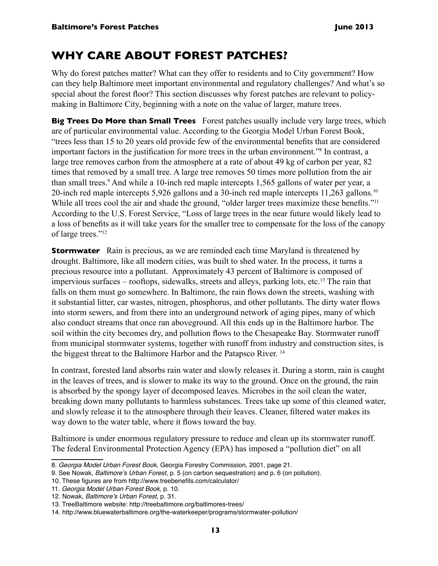## **Why Care about Forest Patches?**

Why do forest patches matter? What can they offer to residents and to City government? How can they help Baltimore meet important environmental and regulatory challenges? And what's so special about the forest floor? This section discusses why forest patches are relevant to policymaking in Baltimore City, beginning with a note on the value of larger, mature trees.

**Big Trees Do More than Small Trees** Forest patches usually include very large trees, which are of particular environmental value. According to the Georgia Model Urban Forest Book, "trees less than 15 to 20 years old provide few of the environmental benefits that are considered important factors in the justification for more trees in the urban environment."8 In contrast, a large tree removes carbon from the atmosphere at a rate of about 49 kg of carbon per year, 82 times that removed by a small tree. A large tree removes 50 times more pollution from the air than small trees.<sup>9</sup> And while a 10-inch red maple intercepts 1,565 gallons of water per year, a 20-inch red maple intercepts 5,926 gallons and a 30-inch red maple intercepts 11,263 gallons.10 While all trees cool the air and shade the ground, "older larger trees maximize these benefits."<sup>11</sup> According to the U.S. Forest Service, "Loss of large trees in the near future would likely lead to a loss of benefits as it will take years for the smaller tree to compensate for the loss of the canopy of large trees."12

**Stormwater** Rain is precious, as we are reminded each time Maryland is threatened by drought. Baltimore, like all modern cities, was built to shed water. In the process, it turns a precious resource into a pollutant. Approximately 43 percent of Baltimore is composed of impervious surfaces – rooftops, sidewalks, streets and alleys, parking lots, etc.13 The rain that falls on them must go somewhere. In Baltimore, the rain flows down the streets, washing with it substantial litter, car wastes, nitrogen, phosphorus, and other pollutants. The dirty water flows into storm sewers, and from there into an underground network of aging pipes, many of which also conduct streams that once ran aboveground. All this ends up in the Baltimore harbor. The soil within the city becomes dry, and pollution flows to the Chesapeake Bay. Stormwater runoff from municipal stormwater systems, together with runoff from industry and construction sites, is the biggest threat to the Baltimore Harbor and the Patapsco River. 14

In contrast, forested land absorbs rain water and slowly releases it. During a storm, rain is caught in the leaves of trees, and is slower to make its way to the ground. Once on the ground, the rain is absorbed by the spongy layer of decomposed leaves. Microbes in the soil clean the water, breaking down many pollutants to harmless substances. Trees take up some of this cleaned water, and slowly release it to the atmosphere through their leaves. Cleaner, filtered water makes its way down to the water table, where it flows toward the bay.

Baltimore is under enormous regulatory pressure to reduce and clean up its stormwater runoff. The federal Environmental Protection Agency (EPA) has imposed a "pollution diet" on all

<sup>8.</sup> Georgia Model Urban Forest Book, Georgia Forestry Commission, 2001, page 21.

<sup>9.</sup> See Nowak, Baltimore's Urban Forest, p. 5 (on carbon sequestration) and p. 6 (on pollution).

<sup>10.</sup> These figures are from http://www.treebenefits.com/calculator/

<sup>11.</sup> Georgia Model Urban Forest Book, p. 10.

<sup>12.</sup> Nowak, Baltimore's Urban Forest, p. 31.

<sup>13.</sup> TreeBaltimore website: http://treebaltimore.org/baltimores-trees/

<sup>14.</sup> http://www.bluewaterbaltimore.org/the-waterkeeper/programs/stormwater-pollution/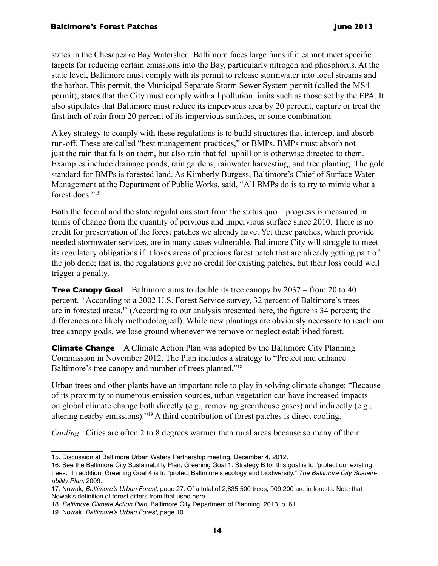states in the Chesapeake Bay Watershed. Baltimore faces large fines if it cannot meet specific targets for reducing certain emissions into the Bay, particularly nitrogen and phosphorus. At the state level, Baltimore must comply with its permit to release stormwater into local streams and the harbor. This permit, the Municipal Separate Storm Sewer System permit (called the MS4 permit), states that the City must comply with all pollution limits such as those set by the EPA. It also stipulates that Baltimore must reduce its impervious area by 20 percent, capture or treat the first inch of rain from 20 percent of its impervious surfaces, or some combination.

A key strategy to comply with these regulations is to build structures that intercept and absorb run-off. These are called "best management practices," or BMPs. BMPs must absorb not just the rain that falls on them, but also rain that fell uphill or is otherwise directed to them. Examples include drainage ponds, rain gardens, rainwater harvesting, and tree planting. The gold standard for BMPs is forested land. As Kimberly Burgess, Baltimore's Chief of Surface Water Management at the Department of Public Works, said, "All BMPs do is to try to mimic what a forest does."15

Both the federal and the state regulations start from the status quo – progress is measured in terms of change from the quantity of pervious and impervious surface since 2010. There is no credit for preservation of the forest patches we already have. Yet these patches, which provide needed stormwater services, are in many cases vulnerable. Baltimore City will struggle to meet its regulatory obligations if it loses areas of precious forest patch that are already getting part of the job done; that is, the regulations give no credit for existing patches, but their loss could well trigger a penalty.

**Tree Canopy Goal** Baltimore aims to double its tree canopy by 2037 – from 20 to 40 percent.16 According to a 2002 U.S. Forest Service survey, 32 percent of Baltimore's trees are in forested areas.17 (According to our analysis presented here, the figure is 34 percent; the differences are likely methodological). While new plantings are obviously necessary to reach our tree canopy goals, we lose ground whenever we remove or neglect established forest.

**Climate Change** A Climate Action Plan was adopted by the Baltimore City Planning Commission in November 2012. The Plan includes a strategy to "Protect and enhance Baltimore's tree canopy and number of trees planted."18

Urban trees and other plants have an important role to play in solving climate change: "Because of its proximity to numerous emission sources, urban vegetation can have increased impacts on global climate change both directly (e.g., removing greenhouse gases) and indirectly (e.g., altering nearby emissions)."19 A third contribution of forest patches is direct cooling.

*Cooling* Cities are often 2 to 8 degrees warmer than rural areas because so many of their

<sup>15.</sup> Discussion at Baltimore Urban Waters Partnership meeting, December 4, 2012.

<sup>16.</sup> See the Baltimore City Sustainability Plan, Greening Goal 1. Strategy B for this goal is to "protect our existing trees." In addition, Greening Goal 4 is to "protect Baltimore's ecology and biodiversity." The Baltimore City Sustainability Plan, 2009.

<sup>17.</sup> Nowak, Baltimore's Urban Forest, page 27. Of a total of 2,835,500 trees, 909,200 are in forests. Note that Nowak's definition of forest differs from that used here.

<sup>18.</sup> Baltimore Climate Action Plan, Baltimore City Department of Planning, 2013, p. 61.

<sup>19.</sup> Nowak, Baltimore's Urban Forest, page 10.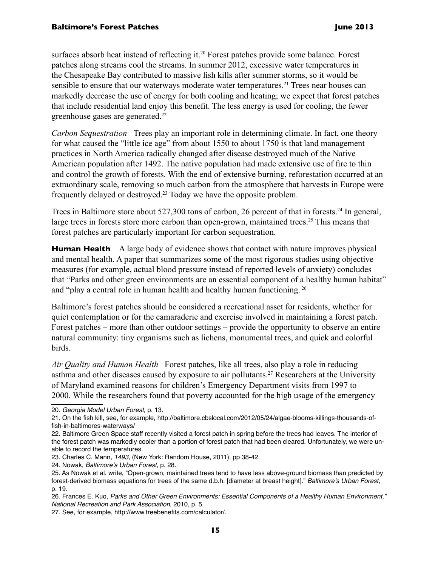surfaces absorb heat instead of reflecting it.<sup>20</sup> Forest patches provide some balance. Forest patches along streams cool the streams. In summer 2012, excessive water temperatures in the Chesapeake Bay contributed to massive fish kills after summer storms, so it would be sensible to ensure that our waterways moderate water temperatures.<sup>21</sup> Trees near houses can markedly decrease the use of energy for both cooling and heating; we expect that forest patches that include residential land enjoy this benefit. The less energy is used for cooling, the fewer greenhouse gases are generated.22

*Carbon Sequestration* Trees play an important role in determining climate. In fact, one theory for what caused the "little ice age" from about 1550 to about 1750 is that land management practices in North America radically changed after disease destroyed much of the Native American population after 1492. The native population had made extensive use of fire to thin and control the growth of forests. With the end of extensive burning, reforestation occurred at an extraordinary scale, removing so much carbon from the atmosphere that harvests in Europe were frequently delayed or destroyed.23 Today we have the opposite problem.

Trees in Baltimore store about 527,300 tons of carbon, 26 percent of that in forests.<sup>24</sup> In general, large trees in forests store more carbon than open-grown, maintained trees.<sup>25</sup> This means that forest patches are particularly important for carbon sequestration.

**Human Health** A large body of evidence shows that contact with nature improves physical and mental health. A paper that summarizes some of the most rigorous studies using objective measures (for example, actual blood pressure instead of reported levels of anxiety) concludes that "Parks and other green environments are an essential component of a healthy human habitat" and "play a central role in human health and healthy human functioning.<sup>26</sup>

Baltimore's forest patches should be considered a recreational asset for residents, whether for quiet contemplation or for the camaraderie and exercise involved in maintaining a forest patch. Forest patches – more than other outdoor settings – provide the opportunity to observe an entire natural community: tiny organisms such as lichens, monumental trees, and quick and colorful birds.

*Air Quality and Human Health*Forest patches, like all trees, also play a role in reducing asthma and other diseases caused by exposure to air pollutants.<sup>27</sup> Researchers at the University of Maryland examined reasons for children's Emergency Department visits from 1997 to 2000. While the researchers found that poverty accounted for the high usage of the emergency

22. Baltimore Green Space staff recently visited a forest patch in spring before the trees had leaves. The interior of the forest patch was markedly cooler than a portion of forest patch that had been cleared. Unfortunately, we were unable to record the temperatures.

24. Nowak, Baltimore's Urban Forest, p. 28.

<sup>20.</sup> Georgia Model Urban Forest, p. 13.

<sup>21.</sup> On the fish kill, see, for example, http://baltimore.cbslocal.com/2012/05/24/algae-blooms-killings-thousands-offish-in-baltimores-waterways/

<sup>23.</sup> Charles C. Mann, 1493, (New York: Random House, 2011), pp 38-42.

<sup>25.</sup> As Nowak et al. write, "Open-grown, maintained trees tend to have less above-ground biomass than predicted by forest-derived biomass equations for trees of the same d.b.h. [diameter at breast height]." Baltimore's Urban Forest, p. 19.

<sup>26.</sup> Frances E. Kuo, Parks and Other Green Environments: Essential Components of a Healthy Human Environment," National Recreation and Park Association, 2010, p. 5.

<sup>27.</sup> See, for example, http://www.treebenefits.com/calculator/.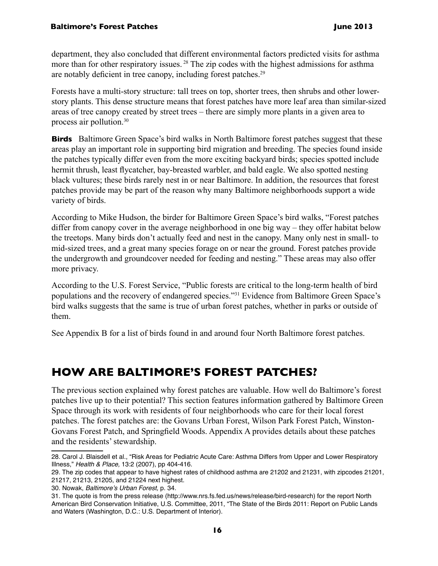department, they also concluded that different environmental factors predicted visits for asthma more than for other respiratory issues.<sup>28</sup> The zip codes with the highest admissions for asthma are notably deficient in tree canopy, including forest patches.<sup>29</sup>

Forests have a multi-story structure: tall trees on top, shorter trees, then shrubs and other lowerstory plants. This dense structure means that forest patches have more leaf area than similar-sized areas of tree canopy created by street trees – there are simply more plants in a given area to process air pollution.30

**Birds** Baltimore Green Space's bird walks in North Baltimore forest patches suggest that these areas play an important role in supporting bird migration and breeding. The species found inside the patches typically differ even from the more exciting backyard birds; species spotted include hermit thrush, least flycatcher, bay-breasted warbler, and bald eagle. We also spotted nesting black vultures; these birds rarely nest in or near Baltimore. In addition, the resources that forest patches provide may be part of the reason why many Baltimore neighborhoods support a wide variety of birds.

According to Mike Hudson, the birder for Baltimore Green Space's bird walks, "Forest patches differ from canopy cover in the average neighborhood in one big way – they offer habitat below the treetops. Many birds don't actually feed and nest in the canopy. Many only nest in small- to mid-sized trees, and a great many species forage on or near the ground. Forest patches provide the undergrowth and groundcover needed for feeding and nesting." These areas may also offer more privacy.

According to the U.S. Forest Service, "Public forests are critical to the long-term health of bird populations and the recovery of endangered species."31 Evidence from Baltimore Green Space's bird walks suggests that the same is true of urban forest patches, whether in parks or outside of them.

See Appendix B for a list of birds found in and around four North Baltimore forest patches.

## **How are Baltimore's Forest Patches?**

The previous section explained why forest patches are valuable. How well do Baltimore's forest patches live up to their potential? This section features information gathered by Baltimore Green Space through its work with residents of four neighborhoods who care for their local forest patches. The forest patches are: the Govans Urban Forest, Wilson Park Forest Patch, Winston-Govans Forest Patch, and Springfield Woods. Appendix A provides details about these patches and the residents' stewardship.

<sup>28.</sup> Carol J. Blaisdell et al., "Risk Areas for Pediatric Acute Care: Asthma Differs from Upper and Lower Respiratory Illness," Health & Place, 13:2 (2007), pp 404-416.

<sup>29.</sup> The zip codes that appear to have highest rates of childhood asthma are 21202 and 21231, with zipcodes 21201, 21217, 21213, 21205, and 21224 next highest.

<sup>30.</sup> Nowak, Baltimore's Urban Forest, p. 34.

<sup>31.</sup> The quote is from the press release (http://www.nrs.fs.fed.us/news/release/bird-research) for the report North American Bird Conservation Initiative, U.S. Committee, 2011, "The State of the Birds 2011: Report on Public Lands and Waters (Washington, D.C.: U.S. Department of Interior).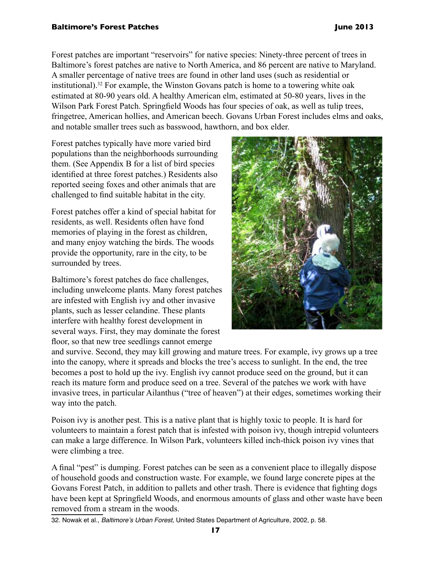Forest patches are important "reservoirs" for native species: Ninety-three percent of trees in Baltimore's forest patches are native to North America, and 86 percent are native to Maryland. A smaller percentage of native trees are found in other land uses (such as residential or institutional).32 For example, the Winston Govans patch is home to a towering white oak estimated at 80-90 years old. A healthy American elm, estimated at 50-80 years, lives in the Wilson Park Forest Patch. Springfield Woods has four species of oak, as well as tulip trees, fringetree, American hollies, and American beech. Govans Urban Forest includes elms and oaks, and notable smaller trees such as basswood, hawthorn, and box elder.

Forest patches typically have more varied bird populations than the neighborhoods surrounding them. (See Appendix B for a list of bird species identified at three forest patches.) Residents also reported seeing foxes and other animals that are challenged to find suitable habitat in the city.

Forest patches offer a kind of special habitat for residents, as well. Residents often have fond memories of playing in the forest as children, and many enjoy watching the birds. The woods provide the opportunity, rare in the city, to be surrounded by trees.

Baltimore's forest patches do face challenges, including unwelcome plants. Many forest patches are infested with English ivy and other invasive plants, such as lesser celandine. These plants interfere with healthy forest development in several ways. First, they may dominate the forest floor, so that new tree seedlings cannot emerge



and survive. Second, they may kill growing and mature trees. For example, ivy grows up a tree into the canopy, where it spreads and blocks the tree's access to sunlight. In the end, the tree becomes a post to hold up the ivy. English ivy cannot produce seed on the ground, but it can reach its mature form and produce seed on a tree. Several of the patches we work with have invasive trees, in particular Ailanthus ("tree of heaven") at their edges, sometimes working their way into the patch.

Poison ivy is another pest. This is a native plant that is highly toxic to people. It is hard for volunteers to maintain a forest patch that is infested with poison ivy, though intrepid volunteers can make a large difference. In Wilson Park, volunteers killed inch-thick poison ivy vines that were climbing a tree.

A final "pest" is dumping. Forest patches can be seen as a convenient place to illegally dispose of household goods and construction waste. For example, we found large concrete pipes at the Govans Forest Patch, in addition to pallets and other trash. There is evidence that fighting dogs have been kept at Springfield Woods, and enormous amounts of glass and other waste have been removed from a stream in the woods.

32. Nowak et al., Baltimore's Urban Forest, United States Department of Agriculture, 2002, p. 58.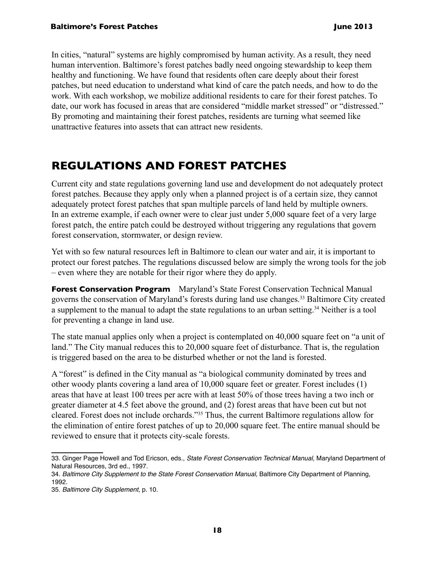In cities, "natural" systems are highly compromised by human activity. As a result, they need human intervention. Baltimore's forest patches badly need ongoing stewardship to keep them healthy and functioning. We have found that residents often care deeply about their forest patches, but need education to understand what kind of care the patch needs, and how to do the work. With each workshop, we mobilize additional residents to care for their forest patches. To date, our work has focused in areas that are considered "middle market stressed" or "distressed." By promoting and maintaining their forest patches, residents are turning what seemed like unattractive features into assets that can attract new residents.

## **Regulations and Forest Patches**

Current city and state regulations governing land use and development do not adequately protect forest patches. Because they apply only when a planned project is of a certain size, they cannot adequately protect forest patches that span multiple parcels of land held by multiple owners. In an extreme example, if each owner were to clear just under 5,000 square feet of a very large forest patch, the entire patch could be destroyed without triggering any regulations that govern forest conservation, stormwater, or design review.

Yet with so few natural resources left in Baltimore to clean our water and air, it is important to protect our forest patches. The regulations discussed below are simply the wrong tools for the job – even where they are notable for their rigor where they do apply.

**Forest Conservation Program** Maryland's State Forest Conservation Technical Manual governs the conservation of Maryland's forests during land use changes.<sup>33</sup> Baltimore City created a supplement to the manual to adapt the state regulations to an urban setting.34 Neither is a tool for preventing a change in land use.

The state manual applies only when a project is contemplated on 40,000 square feet on "a unit of land." The City manual reduces this to 20,000 square feet of disturbance. That is, the regulation is triggered based on the area to be disturbed whether or not the land is forested.

A "forest" is defined in the City manual as "a biological community dominated by trees and other woody plants covering a land area of 10,000 square feet or greater. Forest includes (1) areas that have at least 100 trees per acre with at least 50% of those trees having a two inch or greater diameter at 4.5 feet above the ground, and (2) forest areas that have been cut but not cleared. Forest does not include orchards."35 Thus, the current Baltimore regulations allow for the elimination of entire forest patches of up to 20,000 square feet. The entire manual should be reviewed to ensure that it protects city-scale forests.

<sup>33.</sup> Ginger Page Howell and Tod Ericson, eds., State Forest Conservation Technical Manual, Maryland Department of Natural Resources, 3rd ed., 1997.

<sup>34.</sup> Baltimore City Supplement to the State Forest Conservation Manual, Baltimore City Department of Planning, 1992.

<sup>35.</sup> Baltimore City Supplement, p. 10.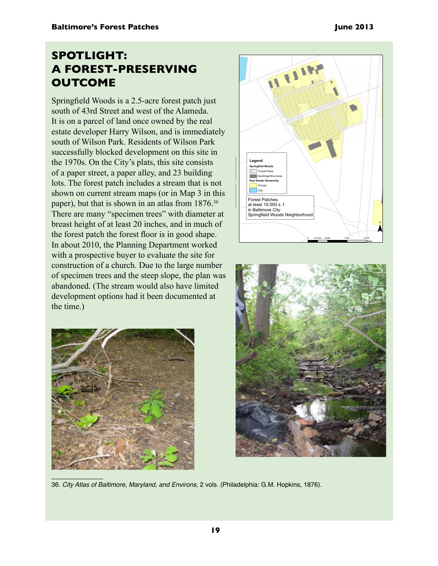## **Spotlight: A Forest-Preserving Outcome**

Springfield Woods is a 2.5-acre forest patch just south of 43rd Street and west of the Alameda. It is on a parcel of land once owned by the real estate developer Harry Wilson, and is immediately south of Wilson Park. Residents of Wilson Park successfully blocked development on this site in the 1970s. On the City's plats, this site consists of a paper street, a paper alley, and 23 building lots. The forest patch includes a stream that is not shown on current stream maps (or in Map 3 in this paper), but that is shown in an atlas from  $1876.^{36}$ There are many "specimen trees" with diameter at breast height of at least 20 inches, and in much of the forest patch the forest floor is in good shape. In about 2010, the Planning Department worked with a prospective buyer to evaluate the site for construction of a church. Due to the large number of specimen trees and the steep slope, the plan was abandoned. (The stream would also have limited development options had it been documented at the time.)







36. City Atlas of Baltimore, Maryland, and Environs, 2 vols. (Philadelphia: G.M. Hopkins, 1876).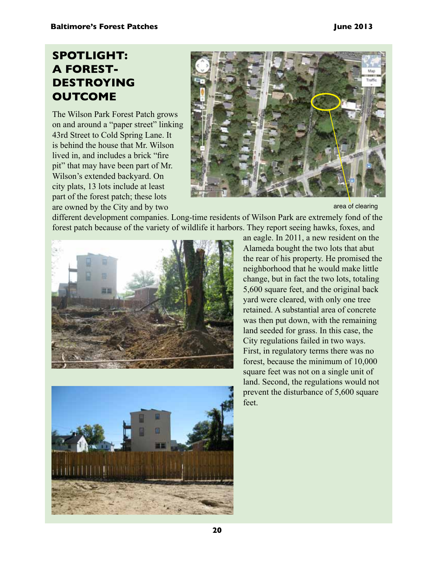## **Spotlight: A Forest-Destroying Outcome**

The Wilson Park Forest Patch grows on and around a "paper street" linking 43rd Street to Cold Spring Lane. It is behind the house that Mr. Wilson lived in, and includes a brick "fire pit" that may have been part of Mr. Wilson's extended backyard. On city plats, 13 lots include at least part of the forest patch; these lots are owned by the City and by two



area of clearing

different development companies. Long-time residents of Wilson Park are extremely fond of the forest patch because of the variety of wildlife it harbors. They report seeing hawks, foxes, and





an eagle. In 2011, a new resident on the Alameda bought the two lots that abut the rear of his property. He promised the neighborhood that he would make little change, but in fact the two lots, totaling 5,600 square feet, and the original back yard were cleared, with only one tree retained. A substantial area of concrete was then put down, with the remaining land seeded for grass. In this case, the City regulations failed in two ways. First, in regulatory terms there was no forest, because the minimum of 10,000 square feet was not on a single unit of land. Second, the regulations would not prevent the disturbance of 5,600 square feet.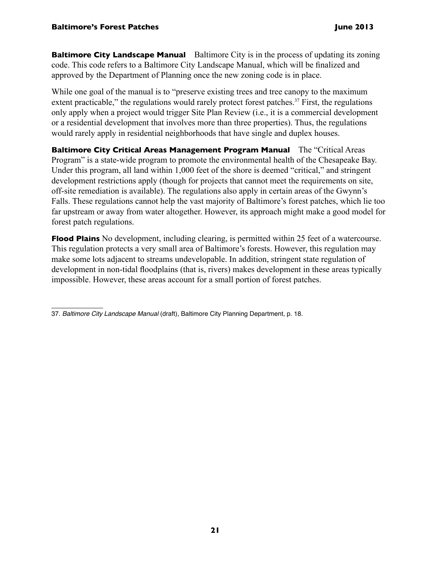**Baltimore City Landscape Manual** Baltimore City is in the process of updating its zoning code. This code refers to a Baltimore City Landscape Manual, which will be finalized and approved by the Department of Planning once the new zoning code is in place.

While one goal of the manual is to "preserve existing trees and tree canopy to the maximum extent practicable," the regulations would rarely protect forest patches.<sup>37</sup> First, the regulations only apply when a project would trigger Site Plan Review (i.e., it is a commercial development or a residential development that involves more than three properties). Thus, the regulations would rarely apply in residential neighborhoods that have single and duplex houses.

**Baltimore City Critical Areas Management Program Manual** The "Critical Areas Program" is a state-wide program to promote the environmental health of the Chesapeake Bay. Under this program, all land within 1,000 feet of the shore is deemed "critical," and stringent development restrictions apply (though for projects that cannot meet the requirements on site, off-site remediation is available). The regulations also apply in certain areas of the Gwynn's Falls. These regulations cannot help the vast majority of Baltimore's forest patches, which lie too far upstream or away from water altogether. However, its approach might make a good model for forest patch regulations.

**Flood Plains** No development, including clearing, is permitted within 25 feet of a watercourse. This regulation protects a very small area of Baltimore's forests. However, this regulation may make some lots adjacent to streams undevelopable. In addition, stringent state regulation of development in non-tidal floodplains (that is, rivers) makes development in these areas typically impossible. However, these areas account for a small portion of forest patches.

<sup>37.</sup> Baltimore City Landscape Manual (draft), Baltimore City Planning Department, p. 18.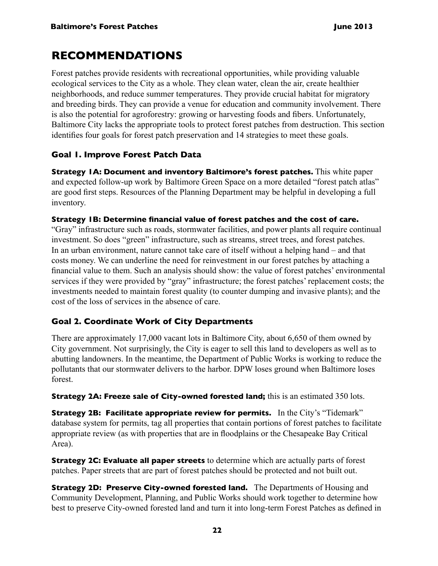## **RECOMMENDATIONS**

Forest patches provide residents with recreational opportunities, while providing valuable ecological services to the City as a whole. They clean water, clean the air, create healthier neighborhoods, and reduce summer temperatures. They provide crucial habitat for migratory and breeding birds. They can provide a venue for education and community involvement. There is also the potential for agroforestry: growing or harvesting foods and fibers. Unfortunately, Baltimore City lacks the appropriate tools to protect forest patches from destruction. This section identifies four goals for forest patch preservation and 14 strategies to meet these goals.

## **Goal 1. Improve Forest Patch Data**

**Strategy 1A: Document and inventory Baltimore's forest patches.** This white paper and expected follow-up work by Baltimore Green Space on a more detailed "forest patch atlas" are good first steps. Resources of the Planning Department may be helpful in developing a full inventory.

### **Strategy 1B: Determine financial value of forest patches and the cost of care.**

"Gray" infrastructure such as roads, stormwater facilities, and power plants all require continual investment. So does "green" infrastructure, such as streams, street trees, and forest patches. In an urban environment, nature cannot take care of itself without a helping hand – and that costs money. We can underline the need for reinvestment in our forest patches by attaching a financial value to them. Such an analysis should show: the value of forest patches' environmental services if they were provided by "gray" infrastructure; the forest patches' replacement costs; the investments needed to maintain forest quality (to counter dumping and invasive plants); and the cost of the loss of services in the absence of care.

## **Goal 2. Coordinate Work of City Departments**

There are approximately 17,000 vacant lots in Baltimore City, about 6,650 of them owned by City government. Not surprisingly, the City is eager to sell this land to developers as well as to abutting landowners. In the meantime, the Department of Public Works is working to reduce the pollutants that our stormwater delivers to the harbor. DPW loses ground when Baltimore loses forest.

**Strategy 2A: Freeze sale of City-owned forested land;** this is an estimated 350 lots.

**Strategy 2B: Facilitate appropriate review for permits.** In the City's "Tidemark" database system for permits, tag all properties that contain portions of forest patches to facilitate appropriate review (as with properties that are in floodplains or the Chesapeake Bay Critical Area).

**Strategy 2C: Evaluate all paper streets** to determine which are actually parts of forest patches. Paper streets that are part of forest patches should be protected and not built out.

**Strategy 2D: Preserve City-owned forested land.** The Departments of Housing and Community Development, Planning, and Public Works should work together to determine how best to preserve City-owned forested land and turn it into long-term Forest Patches as defined in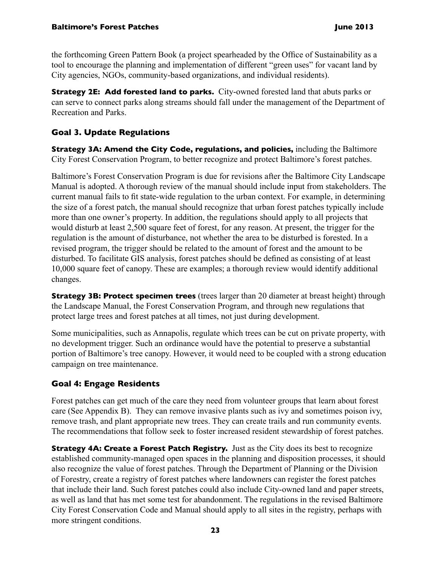the forthcoming Green Pattern Book (a project spearheaded by the Office of Sustainability as a tool to encourage the planning and implementation of different "green uses" for vacant land by City agencies, NGOs, community-based organizations, and individual residents).

**Strategy 2E: Add forested land to parks.** City-owned forested land that abuts parks or can serve to connect parks along streams should fall under the management of the Department of Recreation and Parks.

### **Goal 3. Update Regulations**

**Strategy 3A: Amend the City Code, regulations, and policies,** including the Baltimore City Forest Conservation Program, to better recognize and protect Baltimore's forest patches.

Baltimore's Forest Conservation Program is due for revisions after the Baltimore City Landscape Manual is adopted. A thorough review of the manual should include input from stakeholders. The current manual fails to fit state-wide regulation to the urban context. For example, in determining the size of a forest patch, the manual should recognize that urban forest patches typically include more than one owner's property. In addition, the regulations should apply to all projects that would disturb at least 2,500 square feet of forest, for any reason. At present, the trigger for the regulation is the amount of disturbance, not whether the area to be disturbed is forested. In a revised program, the trigger should be related to the amount of forest and the amount to be disturbed. To facilitate GIS analysis, forest patches should be defined as consisting of at least 10,000 square feet of canopy. These are examples; a thorough review would identify additional changes.

**Strategy 3B: Protect specimen trees** (trees larger than 20 diameter at breast height) through the Landscape Manual, the Forest Conservation Program, and through new regulations that protect large trees and forest patches at all times, not just during development.

Some municipalities, such as Annapolis, regulate which trees can be cut on private property, with no development trigger. Such an ordinance would have the potential to preserve a substantial portion of Baltimore's tree canopy. However, it would need to be coupled with a strong education campaign on tree maintenance.

## **Goal 4: Engage Residents**

Forest patches can get much of the care they need from volunteer groups that learn about forest care (See Appendix B). They can remove invasive plants such as ivy and sometimes poison ivy, remove trash, and plant appropriate new trees. They can create trails and run community events. The recommendations that follow seek to foster increased resident stewardship of forest patches.

**Strategy 4A: Create a Forest Patch Registry.** Just as the City does its best to recognize established community-managed open spaces in the planning and disposition processes, it should also recognize the value of forest patches. Through the Department of Planning or the Division of Forestry, create a registry of forest patches where landowners can register the forest patches that include their land. Such forest patches could also include City-owned land and paper streets, as well as land that has met some test for abandonment. The regulations in the revised Baltimore City Forest Conservation Code and Manual should apply to all sites in the registry, perhaps with more stringent conditions.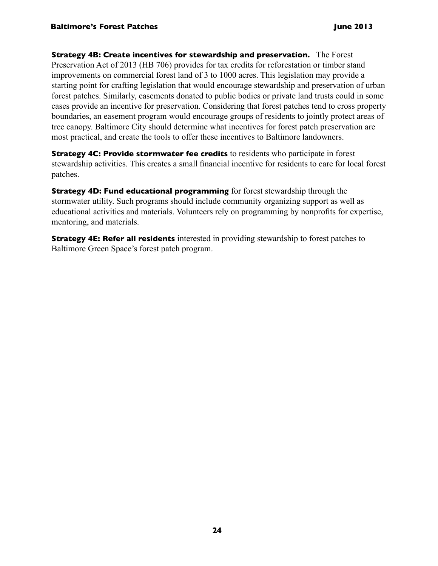**Strategy 4B: Create incentives for stewardship and preservation.** The Forest Preservation Act of 2013 (HB 706) provides for tax credits for reforestation or timber stand improvements on commercial forest land of 3 to 1000 acres. This legislation may provide a starting point for crafting legislation that would encourage stewardship and preservation of urban forest patches. Similarly, easements donated to public bodies or private land trusts could in some cases provide an incentive for preservation. Considering that forest patches tend to cross property boundaries, an easement program would encourage groups of residents to jointly protect areas of tree canopy. Baltimore City should determine what incentives for forest patch preservation are most practical, and create the tools to offer these incentives to Baltimore landowners.

**Strategy 4C: Provide stormwater fee credits** to residents who participate in forest stewardship activities. This creates a small financial incentive for residents to care for local forest patches.

**Strategy 4D: Fund educational programming** for forest stewardship through the stormwater utility. Such programs should include community organizing support as well as educational activities and materials. Volunteers rely on programming by nonprofits for expertise, mentoring, and materials.

**Strategy 4E: Refer all residents** interested in providing stewardship to forest patches to Baltimore Green Space's forest patch program.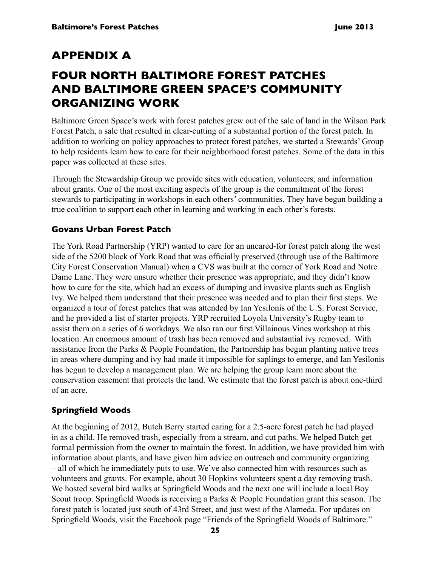## **Appendix A**

## **Four North Baltimore Forest Patches and Baltimore Green Space's Community Organizing Work**

Baltimore Green Space's work with forest patches grew out of the sale of land in the Wilson Park Forest Patch, a sale that resulted in clear-cutting of a substantial portion of the forest patch. In addition to working on policy approaches to protect forest patches, we started a Stewards' Group to help residents learn how to care for their neighborhood forest patches. Some of the data in this paper was collected at these sites.

Through the Stewardship Group we provide sites with education, volunteers, and information about grants. One of the most exciting aspects of the group is the commitment of the forest stewards to participating in workshops in each others' communities. They have begun building a true coalition to support each other in learning and working in each other's forests.

### **Govans Urban Forest Patch**

The York Road Partnership (YRP) wanted to care for an uncared-for forest patch along the west side of the 5200 block of York Road that was officially preserved (through use of the Baltimore City Forest Conservation Manual) when a CVS was built at the corner of York Road and Notre Dame Lane. They were unsure whether their presence was appropriate, and they didn't know how to care for the site, which had an excess of dumping and invasive plants such as English Ivy. We helped them understand that their presence was needed and to plan their first steps. We organized a tour of forest patches that was attended by Ian Yesilonis of the U.S. Forest Service, and he provided a list of starter projects. YRP recruited Loyola University's Rugby team to assist them on a series of 6 workdays. We also ran our first Villainous Vines workshop at this location. An enormous amount of trash has been removed and substantial ivy removed. With assistance from the Parks & People Foundation, the Partnership has begun planting native trees in areas where dumping and ivy had made it impossible for saplings to emerge, and Ian Yesilonis has begun to develop a management plan. We are helping the group learn more about the conservation easement that protects the land. We estimate that the forest patch is about one-third of an acre.

### **Springfield Woods**

At the beginning of 2012, Butch Berry started caring for a 2.5-acre forest patch he had played in as a child. He removed trash, especially from a stream, and cut paths. We helped Butch get formal permission from the owner to maintain the forest. In addition, we have provided him with information about plants, and have given him advice on outreach and community organizing – all of which he immediately puts to use. We've also connected him with resources such as volunteers and grants. For example, about 30 Hopkins volunteers spent a day removing trash. We hosted several bird walks at Springfield Woods and the next one will include a local Boy Scout troop. Springfield Woods is receiving a Parks & People Foundation grant this season. The forest patch is located just south of 43rd Street, and just west of the Alameda. For updates on Springfield Woods, visit the Facebook page "Friends of the Springfield Woods of Baltimore."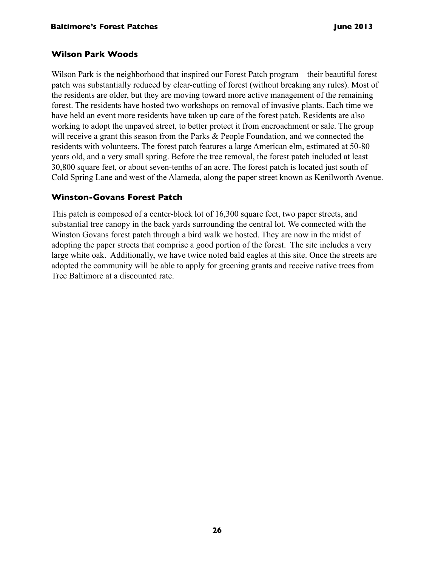### **Wilson Park Woods**

Wilson Park is the neighborhood that inspired our Forest Patch program – their beautiful forest patch was substantially reduced by clear-cutting of forest (without breaking any rules). Most of the residents are older, but they are moving toward more active management of the remaining forest. The residents have hosted two workshops on removal of invasive plants. Each time we have held an event more residents have taken up care of the forest patch. Residents are also working to adopt the unpaved street, to better protect it from encroachment or sale. The group will receive a grant this season from the Parks & People Foundation, and we connected the residents with volunteers. The forest patch features a large American elm, estimated at 50-80 years old, and a very small spring. Before the tree removal, the forest patch included at least 30,800 square feet, or about seven-tenths of an acre. The forest patch is located just south of Cold Spring Lane and west of the Alameda, along the paper street known as Kenilworth Avenue.

### **Winston-Govans Forest Patch**

This patch is composed of a center-block lot of 16,300 square feet, two paper streets, and substantial tree canopy in the back yards surrounding the central lot. We connected with the Winston Govans forest patch through a bird walk we hosted. They are now in the midst of adopting the paper streets that comprise a good portion of the forest. The site includes a very large white oak. Additionally, we have twice noted bald eagles at this site. Once the streets are adopted the community will be able to apply for greening grants and receive native trees from Tree Baltimore at a discounted rate.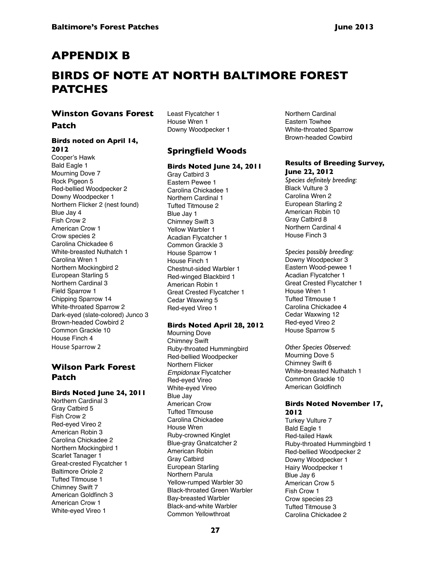## **Appendix b**

## **birds of note at north baltimore forest patches**

#### **Winston Govans Forest**

#### **Patch**

#### **Birds noted on April 14, 2012**

Cooper's Hawk Bald Eagle 1 Mourning Dove 7 Rock Pigeon 5 Red-bellied Woodpecker 2 Downy Woodpecker 1 Northern Flicker 2 (nest found) Blue Jay 4 Fish Crow 2 American Crow 1 Crow species 2 Carolina Chickadee 6 White-breasted Nuthatch 1 Carolina Wren 1 Northern Mockingbird 2 European Starling 5 Northern Cardinal 3 Field Sparrow 1 Chipping Sparrow 14 White-throated Sparrow 2 Dark-eyed (slate-colored) Junco 3 Brown-headed Cowbird 2 Common Grackle 10 House Finch 4 House Sparrow 2

### **Wilson Park Forest Patch**

#### **Birds Noted June 24, 2011**

Northern Cardinal 3 Gray Catbird 5 Fish Crow 2 Red-eyed Vireo 2 American Robin 3 Carolina Chickadee 2 Northern Mockingbird 1 Scarlet Tanager 1 Great-crested Flycatcher 1 Baltimore Oriole 2 Tufted Titmouse 1 Chimney Swift 7 American Goldfinch 3 American Crow 1 White-eyed Vireo 1

Least Flycatcher 1 House Wren 1 Downy Woodpecker 1

### **Springfield Woods**

#### **Birds Noted June 24, 2011**

Gray Catbird 3 Eastern Pewee 1 Carolina Chickadee 1 Northern Cardinal 1 Tufted Titmouse 2 Blue Jay 1 Chimney Swift 3 Yellow Warbler 1 Acadian Flycatcher 1 Common Grackle 3 House Sparrow 1 House Finch 1 Chestnut-sided Warbler 1 Red-winged Blackbird 1 American Robin 1 Great Crested Flycatcher 1 Cedar Waxwing 5 Red-eyed Vireo 1

#### **Birds Noted April 28, 2012**

Mourning Dove Chimney Swift Ruby-throated Hummingbird Red-bellied Woodpecker Northern Flicker Empidonax Flycatcher Red-eyed Vireo White-eyed Vireo Blue Jay American Crow Tufted Titmouse Carolina Chickadee House Wren Ruby-crowned Kinglet Blue-gray Gnatcatcher 2 American Robin Gray Catbird European Starling Northern Parula Yellow-rumped Warbler 30 Black-throated Green Warbler Bay-breasted Warbler Black-and-white Warbler Common Yellowthroat

Northern Cardinal Eastern Towhee White-throated Sparrow Brown-headed Cowbird

#### **Results of Breeding Survey, June 22, 2012**

*Species definitely breeding:* Black Vulture 3 Carolina Wren 2 European Starling 2 American Robin 10 Gray Catbird 8 Northern Cardinal 4 House Finch 3

*Species possibly breeding:* Downy Woodpecker 3 Eastern Wood-pewee 1 Acadian Flycatcher 1 Great Crested Flycatcher 1 House Wren 1 Tufted Titmouse 1 Carolina Chickadee 4 Cedar Waxwing 12 Red-eyed Vireo 2 House Sparrow 5

*Other Species Observed:*  Mourning Dove 5 Chimney Swift 6 White-breasted Nuthatch 1 Common Grackle 10 American Goldfinch

#### **Birds Noted November 17, 2012**

Turkey Vulture 7 Bald Eagle 1 Red-tailed Hawk Ruby-throated Hummingbird 1 Red-bellied Woodpecker 2 Downy Woodpecker 1 Hairy Woodpecker 1 Blue Jay 6 American Crow 5 Fish Crow 1 Crow species 23 Tufted Titmouse 3 Carolina Chickadee 2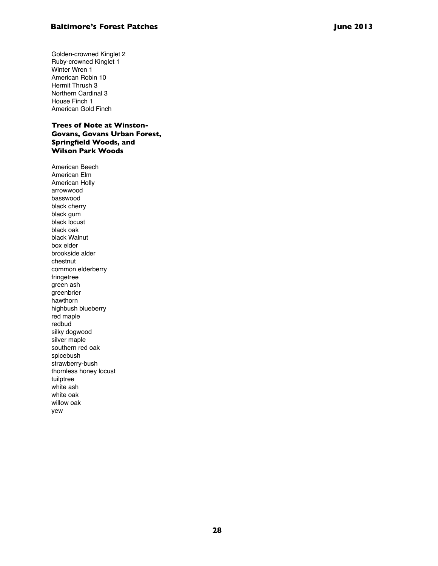Golden-crowned Kinglet 2 Ruby-crowned Kinglet 1 Winter Wren 1 American Robin 10 Hermit Thrush 3 Northern Cardinal 3 House Finch 1 American Gold Finch

**Trees of Note at Winston-Govans, Govans Urban Forest, Springfield Woods, and Wilson Park Woods**

American Beech American Elm American Holly arrowwood basswood black cherry black gum black locust black oak black Walnut box elder brookside alder chestnut common elderberry fringetree green ash greenbrier hawthorn highbush blueberry red maple redbud silky dogwood silver maple southern red oak spicebush strawberry-bush thornless honey locust tuilptree white ash white oak willow oak yew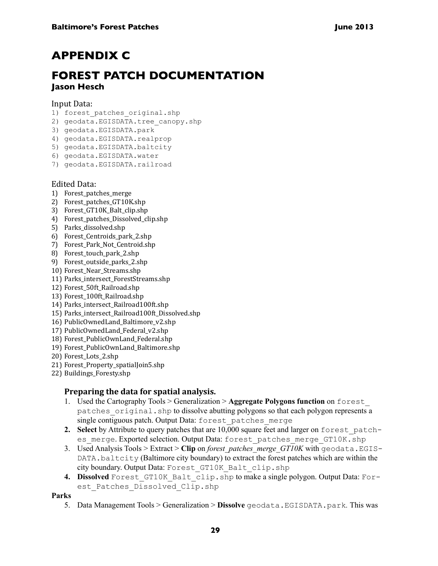## **Appendix C**

## **Forest Patch Documentation Jason Hesch**

#### Input Data:

- 1) forest patches original.shp
- 2) geodata.EGISDATA.tree canopy.shp
- 3) geodata.EGISDATA.park
- 4) geodata.EGISDATA.realprop
- 5) geodata.EGISDATA.baltcity
- 6) geodata.EGISDATA.water
- 7) geodata.EGISDATA.railroad

#### Edited Data:

- 1) Forest\_patches\_merge
- 2) Forest\_patches\_GT10K.shp
- 3) Forest\_GT10K\_Balt\_clip.shp
- 4) Forest\_patches\_Dissolved\_clip.shp
- 5) Parks\_dissolved.shp
- 6) Forest\_Centroids\_park\_2.shp
- 7) Forest\_Park\_Not\_Centroid.shp
- 8) Forest\_touch\_park\_2.shp
- 9) Forest\_outside\_parks\_2.shp
- 10) Forest\_Near\_Streams.shp
- 11) Parks\_intersect\_ForestStreams.shp
- 12) Forest\_50ft\_Railroad.shp
- 13) Forest 100ft Railroad.shp
- 14) Parks\_intersect\_Railroad100ft.shp
- 15) Parks\_intersect\_Railroad100ft\_Dissolved.shp
- 16) PublicOwnedLand\_Baltimore\_v2.shp
- 17) PublicOwnedLand\_Federal\_v2.shp
- 18) Forest\_PublicOwnLand\_Federal.shp
- 19) Forest\_PublicOwnLand\_Baltimore.shp
- 20) Forest\_Lots\_2.shp
- 21) Forest\_Property\_spatialJoin5.shp
- 22) Buildings\_Foresty.shp

### **Preparing the data for spatial analysis.**

- 1. Used the Cartography Tools > Generalization > **Aggregate Polygons function** on forest\_ patches\_original.shp to dissolve abutting polygons so that each polygon represents a single contiguous patch. Output Data: forest patches merge
- **2. Select** by Attribute to query patches that are 10,000 square feet and larger on forest\_patches merge. Exported selection. Output Data: forest patches merge GT10K.shp
- 3. Used Analysis Tools > Extract > **Clip** on *forest\_patches\_merge\_GT10K* with geodata.EGIS-DATA.baltcity (Baltimore city boundary) to extract the forest patches which are within the city boundary. Output Data: Forest\_GT10K\_Balt\_clip.shp
- **4. Dissolved** Forest GT10K Balt clip.shp to make a single polygon. Output Data: Forest Patches Dissolved Clip.shp

**Parks**

5. Data Management Tools > Generalization > **Dissolve** geodata.EGISDATA.park*.* This was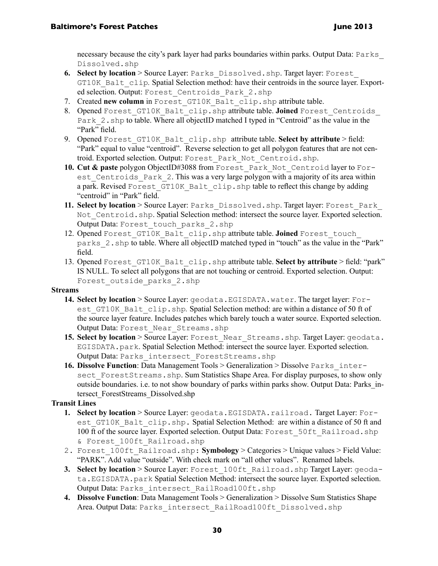necessary because the city's park layer had parks boundaries within parks. Output Data: Parks\_ Dissolved.shp

- **6.** Select by location > Source Layer: Parks Dissolved.shp. Target layer: Forest GT10K Balt clip. Spatial Selection method: have their centroids in the source layer. Exported selection. Output: Forest\_Centroids\_Park\_2.shp
- 7. Created new column in Forest GT10K Balt clip.shp attribute table.
- 8. Opened Forest GT10K Balt clip.shp attribute table. **Joined** Forest Centroids Park 2.shp to table. Where all objectID matched I typed in "Centroid" as the value in the "Park" field.
- 9. Opened Forest GT10K Balt clip.shp attribute table. Select by attribute > field: "Park" equal to value "centroid". Reverse selection to get all polygon features that are not centroid. Exported selection. Output: Forest\_Park\_Not\_Centroid.shp.
- **10. Cut & paste** polygon ObjectID#3088 from Forest Park Not Centroid layer to Forest Centroids Park 2. This was a very large polygon with a majority of its area within a park. Revised Forest GT10K Balt clip.shp table to reflect this change by adding "centroid" in "Park" field.
- **11. Select by location** > Source Layer: Parks\_Dissolved.shp. Target layer: Forest\_Park Not Centroid. shp. Spatial Selection method: intersect the source layer. Exported selection. Output Data: Forest\_touch\_parks\_2.shp
- 12. Opened Forest\_GT10K\_Balt\_clip.shp attribute table. **Joined** Forest\_touch parks\_2.shp to table. Where all objectID matched typed in "touch" as the value in the "Park" field.
- 13. Opened Forest\_GT10K\_Balt\_clip.shp attribute table. **Select by attribute** > field: "park" IS NULL. To select all polygons that are not touching or centroid. Exported selection. Output: Forest outside parks 2.shp

#### **Streams**

- **14. Select by location** > Source Layer: geodata.EGISDATA.water. The target layer: Forest GT10K Balt clip.shp. Spatial Selection method: are within a distance of 50 ft of the source layer feature. Includes patches which barely touch a water source. Exported selection. Output Data: Forest\_Near\_Streams.shp
- 15. Select by location > Source Layer: Forest Near Streams.shp. Target Layer: geodata. EGISDATA.park. Spatial Selection Method: intersect the source layer. Exported selection. Output Data: Parks\_intersect\_ForestStreams.shp
- **16. Dissolve Function**: Data Management Tools > Generalization > Dissolve Parks\_intersect ForestStreams.shp. Sum Statistics Shape Area. For display purposes, to show only outside boundaries. i.e. to not show boundary of parks within parks show. Output Data: Parks\_intersect\_ForestStreams\_Dissolved.shp

#### **Transit Lines**

- **1. Select by location** > Source Layer: geodata.EGISDATA.railroad. Target Layer: Forest GT10K Balt clip.shp. Spatial Selection Method: are within a distance of 50 ft and 100 ft of the source layer. Exported selection. Output Data: Forest 50ft Railroad.shp & Forest\_100ft\_Railroad.shp
- 2. Forest 100ft Railroad.shp: **Symbology** > Categories > Unique values > Field Value: "PARK". Add value "outside". With check mark on "all other values". Renamed labels.
- **3. Select by location** > Source Layer: Forest\_100ft\_Railroad.shp Target Layer: geodata.EGISDATA.park Spatial Selection Method: intersect the source layer. Exported selection. Output Data: Parks\_intersect\_RailRoad100ft.shp
- **4. Dissolve Function**: Data Management Tools > Generalization > Dissolve Sum Statistics Shape Area. Output Data: Parks\_intersect\_RailRoad100ft\_Dissolved.shp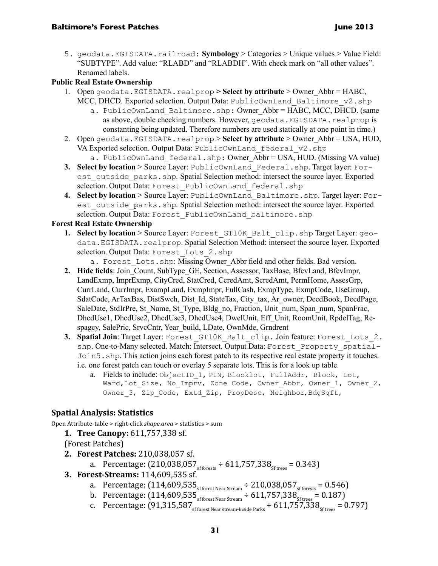5. geodata.EGISDATA.railroad: **Symbology** > Categories > Unique values > Value Field: "SUBTYPE". Add value: "RLABD" and "RLABDH". With check mark on "all other values". Renamed labels.

### **Public Real Estate Ownership**

- 1. Open geodata.EGISDATA.realprop **> Select by attribute** > Owner\_Abbr = HABC, MCC, DHCD. Exported selection. Output Data: PublicOwnLand Baltimore v2.shp
	- a. PublicOwnLand Baltimore.shp: Owner Abbr = HABC, MCC, DHCD. (same as above, double checking numbers. However, geodata.EGISDATA.realprop is constanting being updated. Therefore numbers are used statically at one point in time.)
- 2. Open geodata.EGISDATA.realprop > Select by attribute > Owner Abbr = USA, HUD, VA Exported selection. Output Data: PublicOwnLand federal v2.shp
	- a. PublicOwnLand federal.shp: Owner Abbr = USA, HUD. (Missing VA value)
- **3. Select by location** > Source Layer: PublicOwnLand\_Federal.shp. Target layer: Forest outside parks.shp. Spatial Selection method: intersect the source layer. Exported selection. Output Data: Forest PublicOwnLand federal.shp
- **4. Select by location** > Source Layer: PublicOwnLand\_Baltimore.shp. Target layer: Forest outside parks.shp. Spatial Selection method: intersect the source layer. Exported selection. Output Data: Forest PublicOwnLand baltimore.shp

#### **Forest Real Estate Ownership**

- **1. Select by location** > Source Layer: Forest\_GT10K\_Balt\_clip.shp Target Layer: geodata. EGISDATA.realprop. Spatial Selection Method: intersect the source layer. Exported selection. Output Data: Forest Lots 2.shp
	- a. Forest Lots.shp: Missing Owner Abbr field and other fields. Bad version.
- **2. Hide fields**: Join\_Count, SubType\_GE, Section, Assessor, TaxBase, BfcvLand, BfcvImpr, LandExmp, ImprExmp, CityCred, StatCred, CcredAmt, ScredAmt, PermHome, AssesGrp, CurrLand, CurrImpr, ExampLand, ExmpImpr, FullCash, ExmpType, ExmpCode, UseGroup, SdatCode, ArTaxBas, DistSwch, Dist\_Id, StateTax, City\_tax, Ar\_owner, DeedBook, DeedPage, SaleDate, StdIrPre, St\_Name, St\_Type, Bldg\_no, Fraction, Unit\_num, Span\_num, SpanFrac, DhcdUse1, DhcdUse2, DhcdUse3, DhcdUse4, DwelUnit, Eff\_Unit, RoomUnit, RpdelTag, Respagcy, SalePric, SrvcCntr, Year\_build, LDate, OwnMde, Grndrent
- **3. Spatial Join**: Target Layer: Forest\_GT10K\_Balt\_clip. Join feature: Forest\_Lots\_2. shp. One-to-Many selected. Match: Intersect. Output Data: Forest\_Property\_spatial-Join5.shp. This action joins each forest patch to its respective real estate property it touches. i.e. one forest patch can touch or overlay 5 separate lots. This is for a look up table.
	- a. Fields to include: ObjectID 1, PIN, Blocklot, FullAddr, Block, Lot, Ward, Lot Size, No Imprv, Zone Code, Owner Abbr, Owner 1, Owner 2, Owner 3, Zip Code, Extd Zip, PropDesc, Neighbor, BdgSqft,

### **Spatial Analysis: Statistics**

Open Attribute-table > right-click *shape.area* > statistics > sum

### **1. Tree Canopy:** 611,757,338 sf.

- (Forest Patches)
- **2. Forest Patches:** 210,038,057 sf.
	- a. Percentage:  $(210,038,057)$ <sub>sf forests</sub> ÷  $611,757,338$ <sub>Sf trees</sub> = 0.343)
- **3. Forest-Streams:** 114,609,535 sf.
	- a. Percentage:  $(114{,}609{,}535{\scriptstyle\scriptstyle\rm{sfforest\,Near\,Stream}} \div 210{,}038{,}057{\scriptstyle\scriptstyle\rm{sfforest\,}} = 0.546$ )
	- b. Percentage:  $(114,609,535)$ <sub>sf forest Near Stream</sub>  $\div$  611,757,338<sub>Sf trees</sub> = 0.187)
	- c. Percentage:  $(91,315,587)$  Si forest Near stream-Inside Parks  $\div 611,757,338$ <sub>Sf trees</sub> = 0.797)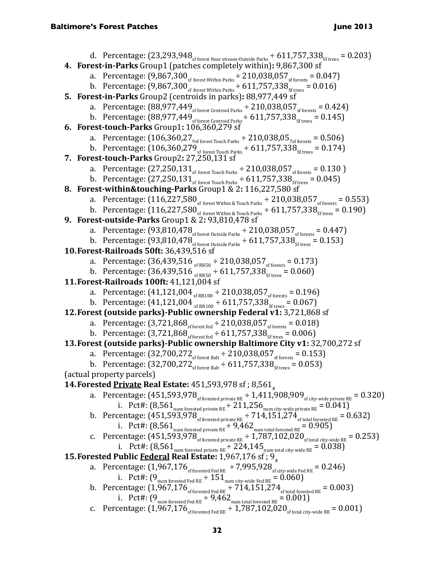d. Percentage: (23,293,948sf forest Near stream-Outside Parks ÷ 611,757,338Sf trees = 0.203) **4. Forest-in-Parks** Group1 (patches completely within)**:** 9,867,300 sf a. Percentage: (9,867,300sf forest Within Parks ÷ 210,038,057sf forests = 0.047) b. Percentage: (9,867,300sf forest Within Parks ÷ 611,757,338Sf trees = 0.016) **5. Forest-in-Parks** Group2 (centroids in parks)**:** 88,977,449 sf a. Percentage: (88,977,449sf forest Centroid Parks ÷ 210,038,057sf forests = 0.424) b. Percentage: (88,977,449sf forest Centroid Parks ÷ 611,757,338Sf trees = 0.145) **6. Forest-touch-Parks** Group1**:** 106,360,279 sf a. Percentage: (106,360,279sf forest Touch Parks ÷ 210,038,057sf forests = 0.506) b. Percentage: (106,360,279sf forest Touch Parks ÷ 611,757,338Sf trees = 0.174) **7. Forest-touch-Parks** Group2**:** 27,250,131 sf a. Percentage: (27,250,131sf forest Touch Parks ÷ 210,038,057sf forests = 0.130 ) b. Percentage: (27,250,131sf forest Touch Parks ÷ 611,757,338Sf trees = 0.045) **8. Forest-within&touching-Parks** Group1 & 2**:** 116,227,580 sf a. Percentage: (116,227,580sf forest Within & Touch Parks ÷ 210,038,057sf forests = 0.553) b. Percentage: (116,227,580sf forest Within & Touch Parks ÷ 611,757,338Sf trees = 0.190) **9. Forest-outside-Parks** Group1 & 2**:** 93,810,478 sf a. Percentage: (93,810,478sf forest Outside Parks ÷ 210,038,057sf forests = 0.447) b. Percentage: (93,810,478sf forest Outside Parks ÷ 611,757,338Sf trees = 0.153) **10.Forest-Railroads 50ft:** 36,439,516 sf a. Percentage: (36,439,516 sf RR50 ÷ 210,038,057sf forests = 0.173) b. Percentage: (36,439,516 sf RR50 ÷ 611,757,338Sf trees = 0.060) **11.Forest-Railroads 100ft:** 41,121,004 sf a. Percentage: (41,121,004 sf RR100 ÷ 210,038,057sf forests = 0.196) b. Percentage: (41,121,004 sf RR100 ÷ 611,757,338Sf trees = 0.067) **12.Forest (outside parks)-Public ownership Federal v1:** 3,721,868 sf a. Percentage: (3,721,868sf forest fed ÷ 210,038,057sf forests = 0.018) b. Percentage: (3,721,868sf forest fed ÷ 611,757,338Sf trees = 0.006) **13.Forest (outside parks)-Public ownership Baltimore City v1:** 32,700,272 sf a. Percentage: (32,700,272sf forest Balt ÷ 210,038,057sf forests = 0.153) b. Percentage: (32,700,272sf forest Balt ÷ 611,757,338Sf trees = 0.053) (actual property parcels) **14.Forested Private Real Estate:** 451,593,978 sf ; 8,561# a. Percentage: (451,593,978sf forested private RE ÷ 1,411,908,909sf city-wide private RE = 0.320) i. Pct#: (8,561num forested private RE ÷ 211,256num city-wide private RE = 0.041) b. Percentage: (451,593,978sf forested private RE ÷ 714,151,274sf total forested RE = 0.632) i. Pct#: (8,561num forested private RE ÷ 9,462num total forested RE = 0.905) c. Percentage: (451,593,978sf forested private RE ÷ 1,787,102,020sf total city-wide RE = 0.253) i. Pct#: (8,561num forested private RE ÷ 224,145num total city-wide RE = 0.038) **15.Forested Public Federal Real Estate:** 1,967,176 sf ; 9# a. Percentage: (1,967,176sf forested Fed RE ÷7,995,928sf city-wide Fed RE = 0.246) i. Pct#: (9num forested Fed RE ÷ 151num city-wide Fed RE = 0.060) b. Percentage: (1,967,176sf forested Fed RE ÷ 714,151,274sf total forested RE = 0.003) i. Pct#: (9num forested Fed RE ÷ 9,462num total forested RE = 0.001) c. Percentage: (1,967,176sf forested Fed RE ÷ 1,787,102,020sf total city-wide RE = 0.001)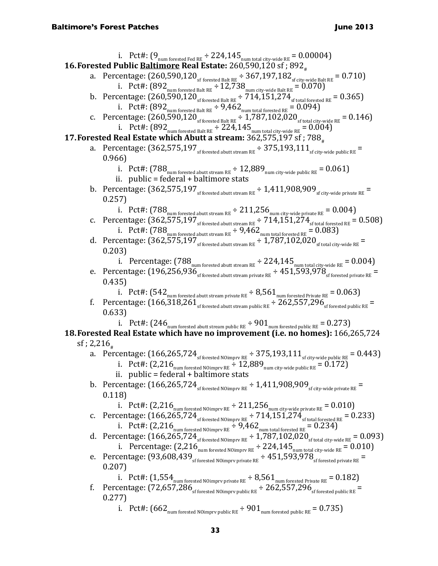i. Pct#:  $(9_{\text{num forested Fed RE}} \div 224,145_{\text{num total city-wide RE}} = 0.000004)$ **16. Forested Public Baltimore Real Estate:** 260,590,120 sf; 892. a. Percentage:  $(260,590,120)$ <sub>sf forested Balt RE</sub>  $\div$  367,197,182<sub>sf city-wide Balt RE</sub> = 0.710) i. Pct#:  $(892_{\text{num forested Balt RE}} \div 12,738_{\text{num city-wide Balt RE}} = 0.070)$ b. Percentage:  $(260,590,120)$ <sub>sf forested Balt RE</sub>  $\div 714,151,274$ <sub>sf total forested RE</sub> = 0.365) 1. PCt#:  $(892_{\text{num forested Balt RE}} \div 9,462_{\text{num total forested RE}} = 0.094$ ) c. Percentage:  $(260,590,120)$ <sub>sf forested Balt RE</sub>  $\div 1.787,102,020$ <sub>sf total city-wide RE</sub> = 0.146) i. Pct#:  $(892_{\text{num forested Balt RE}} \div 224.145_{\text{num total city-wide RE}} = 0.004)$ **17. Forested Real Estate which Abutt a stream:** 362,575,197 sf; 788. a. Percentage:  $(362,575,197)$ <sub>sf forested abutt stream RE</sub>  $\div$  375,193,111<sub>sf city-wide public RE</sub> 0.966) i. Pct#:  $(788_{\text{num forested about stream RE}} \div 12{,}889_{\text{num city-wide public RE}} = 0.061)$ ii. public = federal + baltimore stats b. Percentage:  $(362,575,197)$ <sub>sf forested abutt stream RE</sub>  $\div$  1,411,908,909<sub>sf city-wide private RE</sub> = 0.257) i. Pct#:  $(788_{\text{num forested about stream RE}} \div 211,256_{\text{num city-wide private RE}} = 0.004$ c. Percentage:  $(362,575,197)$ <sub>sf forested abutt stream RE</sub>  $\div 714,151,274$ <sub>sf total forested RE</sub> = 0.508) i. Pct#:  $(788_{\text{num forested abutt stream RE}} \div 9,462_{\text{num total forested RE}} = 0.083)$ d. Percentage:  $(362, 575, 197)$  sf forested abutt stream RE  $\div 1,787,102,020$  sf total city-wide RE 0.203) i. Percentage:  $(788_{\text{num forested about stream RE}} \div 224,145_{\text{num total city-wide RE}} = 0.004)$ e. Percentage:  $(196,256,936)$ <sub>sf forested abutt stream private RE</sub>  $\div 451,593,978$ <sub>sf forested private RE</sub> = 0.435) i. Pct#:  $(542_{\text{num forested abutt stream private RE}} \div 8,561_{\text{num forested Private RE}} = 0.063$ f. Percentage:  $(166,318,261)$  or stream public RE  $\pm 262,557,296$  or forested public RE = 0.633) i. Pct#:  $(246_{\text{num forested about stream public RE}} \div 901_{\text{num forested public RE}} = 0.273)$ **18.Forested Real Estate which have no improvement (i.e. no homes):** 166,265,724 sf; 2,216 $_{\ast}$ a. Percentage:  $(166, 265, 724$ <sub>sf forested NOimprv RE</sub>  $\div$  375,193,111<sub>sf city-wide public RE</sub> = 0.443) i. Pct#:  $(2,216)$ <sub>num forested NOimprv RE</sub>  $\div$  12,889<sub>num city-wide public RE</sub> = 0.172) ii. public = federal + baltimore stats b. Percentage:  $(166, 265, 724)$ <sub>sf forested NOimpry RE</sub>  $\div 1,411,908,909$ <sub>sf city-wide private RE</sub> 0.118) 1. PCt#:  $(2,216_{\text{num forested NOimprv RE}} \div 211,256_{\text{num city-wide private RE}} = 0.010$ c. Percentage:  $(166,265,724$ <sub>sf forested NOimpry RE</sub>  $\div$  714,151,274<sub>sf total forested RE</sub> = 0.233) i. Pct#:  $(2,216_{\text{num forested Noimprv RE}} \div 9,462_{\text{num total forested RE}} = 0.234)$ d. Percentage:  $(166, 265, 724)$ <sub>sf forested NOimprv RE</sub>  $\div 1,787,102,020$ <sub>sf total city-wide RE</sub> = 0.093) i. Percentage:  $(2,216)$ <sub>num forested NOimprv RE</sub> ÷  $224,145$ <sub>num total city-wide RE</sub> =  $0.010$ ) e. Percentage:  $(93,608,439)$  sf forested NOimprv private RE  $\div 451,593,978$  sf forested private RE 0.207) i. Pct#:  $(1.554_{\text{num forested NOimprv private RE}} + 8.561_{\text{num forested Private RE}} = 0.182$ f. Percentage:  $(72,657,286)$ <sub>sf forested NOimprv public RE</sub>  $\div 262,557,296$ <sub>sf forested public RE</sub> 0.277) i. Pct#:  $(662_{\text{num forested NOimprv public RE}} \div 901_{\text{num forested public RE}} = 0.735)$